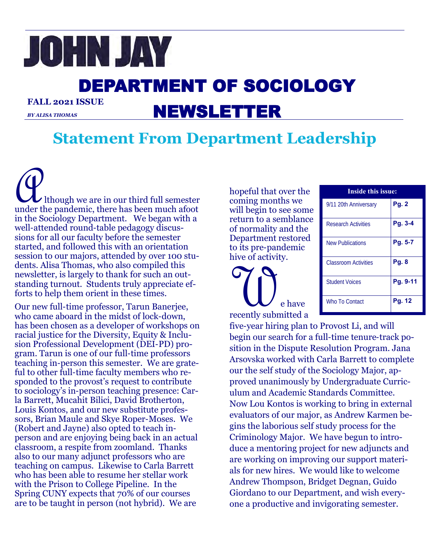# JOHN JAY

# DEPARTMENT OF SOCIOLOGY **FALL 2021 ISSUE**

*BY ALISA THOMAS*

# NEWSLETTER

# **Statement From Department Leadership**

Although we are in our third full semester under the pandemic, there has been much afoot in the Sociology Department. We began with a well-attended round-table pedagogy discussions for all our faculty before the semester started, and followed this with an orientation session to our majors, attended by over 100 students. Alisa Thomas, who also compiled this newsletter, is largely to thank for such an outstanding turnout. Students truly appreciate efforts to help them orient in these times.

Our new full-time professor, Tarun Banerjee, who came aboard in the midst of lock-down, has been chosen as a developer of workshops on racial justice for the Diversity, Equity & Inclusion Professional Development (DEI-PD) program. Tarun is one of our full-time professors teaching in-person this semester. We are grateful to other full-time faculty members who responded to the provost's request to contribute to sociology's in-person teaching presence: Carla Barrett, Mucahit Bilici, David Brotherton, Louis Kontos, and our new substitute professors, Brian Maule and Skye Roper-Moses. We (Robert and Jayne) also opted to teach inperson and are enjoying being back in an actual classroom, a respite from zoomland. Thanks also to our many adjunct professors who are teaching on campus. Likewise to Carla Barrett who has been able to resume her stellar work with the Prison to College Pipeline. In the Spring CUNY expects that 70% of our courses are to be taught in person (not hybrid). We are

hopeful that over the coming months we will begin to see some return to a semblance of normality and the Department restored to its pre-pandemic hive of activity.

We have recently submitted a

| <b>Inside this issue:</b>  |              |
|----------------------------|--------------|
| 9/11 20th Anniversary      | <b>Pg. 2</b> |
| <b>Research Activities</b> | Pg. 3-4      |
| <b>New Publications</b>    | Pg. 5-7      |
| Classroom Activities       | Pg. 8        |
| <b>Student Voices</b>      | Pg. 9-11     |
| Who To Contact             | Pg. 12       |

five-year hiring plan to Provost Li, and will begin our search for a full-time tenure-track position in the Dispute Resolution Program. Jana Arsovska worked with Carla Barrett to complete our the self study of the Sociology Major, approved unanimously by Undergraduate Curriculum and Academic Standards Committee. Now Lou Kontos is working to bring in external evaluators of our major, as Andrew Karmen begins the laborious self study process for the Criminology Major. We have begun to introduce a mentoring project for new adjuncts and are working on improving our support materials for new hires. We would like to welcome Andrew Thompson, Bridget Degnan, Guido Giordano to our Department, and wish everyone a productive and invigorating semester.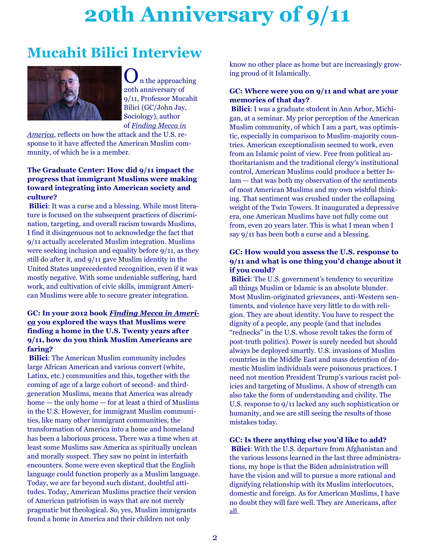# **20th Anniversary of 9/11**

# **Mucahit Bilici Interview**



In the approaching 20th anniversary of 9/11, Professor [Mucahit](https://www.gc.cuny.edu/Page-Elements/Academics-Research-Centers-Initiatives/Doctoral-Programs/Sociology/Faculty-Bios/Mucahit-Bilici)  [Bilici](https://www.gc.cuny.edu/Page-Elements/Academics-Research-Centers-Initiatives/Doctoral-Programs/Sociology/Faculty-Bios/Mucahit-Bilici) (GC/John Jay, Sociology), author of *[Finding Mecca in](https://press.uchicago.edu/ucp/books/book/chicago/F/bo14127843.html)* 

*[America](https://press.uchicago.edu/ucp/books/book/chicago/F/bo14127843.html)*, reflects on how the attack and the U.S. response to it have affected the American Muslim community, of which he is a member.

### **The Graduate Center: How did 9/11 impact the progress that immigrant Muslims were making toward integrating into American society and culture?**

**Bilici**: It was a curse and a blessing. While most literature is focused on the subsequent practices of discrimination, targeting, and overall racism towards Muslims, I find it disingenuous not to acknowledge the fact that 9/11 actually accelerated Muslim integration. Muslims were seeking inclusion and equality before 9/11, as they still do after it, and 9/11 gave Muslim identity in the United States unprecedented recognition, even if it was mostly negative. With some undeniable suffering, hard work, and cultivation of civic skills, immigrant American Muslims were able to secure greater integration.

### **GC: In your 2012 book** *[Finding Mecca in Ameri](https://press.uchicago.edu/ucp/books/book/chicago/F/bo14127843.html)[ca](https://press.uchicago.edu/ucp/books/book/chicago/F/bo14127843.html)* **you explored the ways that Muslims were finding a home in the U.S. Twenty years after 9/11, how do you think Muslim Americans are faring?**

**Bilici**: The American Muslim community includes large African American and various convert (white, Latinx, etc.) communities and this, together with the coming of age of a large cohort of second- and thirdgeneration Muslims, means that America was already home — the only home — for at least a third of Muslims in the U.S. However, for immigrant Muslim communities, like many other immigrant communities, the transformation of America into a home and homeland has been a laborious process. There was a time when at least some Muslims saw America as spiritually unclean and morally suspect. They saw no point in interfaith encounters. Some were even skeptical that the English language could function properly as a Muslim language. Today, we are far beyond such distant, doubtful attitudes. Today, American Muslims practice their version of American patriotism in ways that are not merely pragmatic but theological. So, yes, Muslim immigrants found a home in America and their children not only

know no other place as home but are increasingly growing proud of it Islamically.

### **GC: Where were you on 9/11 and what are your memories of that day?**

**Bilici**: I was a graduate student in Ann Arbor, Michigan, at a seminar. My prior perception of the American Muslim community, of which I am a part, was optimistic, especially in comparison to Muslim-majority countries. American exceptionalism seemed to work, even from an Islamic point of view. Free from political authoritarianism and the traditional clergy's institutional control, American Muslims could produce a better Islam — that was both my observation of the sentiments of most American Muslims and my own wishful thinking. That sentiment was crushed under the collapsing weight of the Twin Towers. It inaugurated a depressive era, one American Muslims have not fully come out from, even 20 years later. This is what I mean when I say 9/11 has been both a curse and a blessing.

### **GC: How would you assess the U.S. response to 9/11 and what is one thing you'd change about it if you could?**

**Bilici**: The U.S. government's tendency to securitize all things Muslim or Islamic is an absolute blunder. Most Muslim-originated grievances, anti-Western sentiments, and violence have very little to do with religion. They are about identity. You have to respect the dignity of a people, any people (and that includes "rednecks" in the U.S. whose revolt takes the form of post-truth politics). Power is surely needed but should always be deployed smartly. U.S. invasions of Muslim countries in the Middle East and mass detention of domestic Muslim individuals were poisonous practices. I need not mention President Trump's various racist policies and targeting of Muslims. A show of strength can also take the form of understanding and civility. The U.S. response to 9/11 lacked any such sophistication or humanity, and we are still seeing the results of those mistakes today.

### **GC: Is there anything else you'd like to add?**

**Bilici**: With the U.S. departure from Afghanistan and the various lessons learned in the last three administrations, my hope is that the Biden administration will have the vision and will to pursue a more rational and dignifying relationship with its Muslim interlocutors, domestic and foreign. As for American Muslims, I have no doubt they will fare well. They are Americans, after all.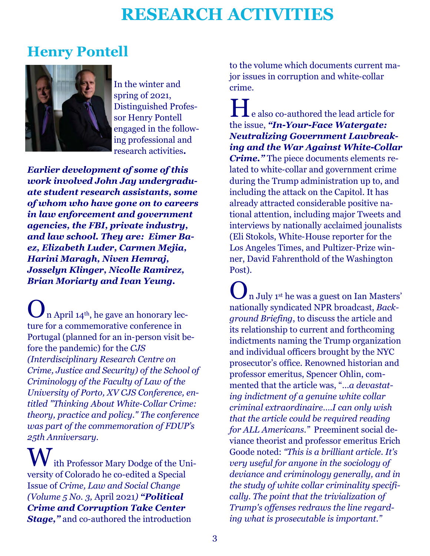# **RESEARCH ACTIVITIES**

### **Henry Pontell**



In the winter and spring of 2021, Distinguished Professor Henry Pontell engaged in the following professional and research activities**.**

*Earlier development of some of this work involved John Jay undergraduate student research assistants, some of whom who have gone on to careers in law enforcement and government agencies, the FBI, private industry, and law school. They are: Eimer Baez, Elizabeth Luder, Carmen Mejia, Harini Maragh, Niven Hemraj, Josselyn Klinger, Nicolle Ramirez, Brian Moriarty and Ivan Yeung.*

 $\sqrt{\frac{1}{n}}$  April 14<sup>th</sup>, he gave an honorary lecture for a commemorative conference in Portugal (planned for an in-person visit before the pandemic) for the *CJS (Interdisciplinary Research Centre on Crime, Justice and Security) of the School of Criminology of the Faculty of Law of the University of Porto, XV CJS Conference, entitled "Thinking About White-Collar Crime: theory, practice and policy." The conference was part of the commemoration of FDUP's 25th Anniversary.*

ith Professor Mary Dodge of the University of Colorado he co-edited a Special Issue of *Crime, Law and Social Change (Volume 5 No. 3,* April 2021*) "Political Crime and Corruption Take Center Stage,"* and co-authored the introduction

to the volume which documents current major issues in corruption and white-collar crime.

He also co-authored the lead article for the issue, *"In-Your-Face Watergate: Neutralizing Government Lawbreaking and the War Against White-Collar Crime."* The piece documents elements related to white-collar and government crime during the Trump administration up to, and including the attack on the Capitol. It has already attracted considerable positive national attention, including major Tweets and interviews by nationally acclaimed jounalists (Eli Stokols, White-House reporter for the Los Angeles Times, and Pultizer-Prize winner, David Fahrenthold of the Washington Post).

 $\bigcup$  n July 1<sup>st</sup> he was a guest on Ian Masters' nationally syndicated NPR broadcast, *Background Briefing*, to discuss the article and its relationship to current and forthcoming indictments naming the Trump organization and individual officers brought by the NYC prosecutor's office. Renowned historian and professor emeritus, Spencer Ohlin, commented that the article was, "…*a devastating indictment of a genuine white collar criminal extraordinaire….I can only wish that the article could be required reading for ALL Americans."* Preeminent social deviance theorist and professor emeritus Erich Goode noted: *"This is a brilliant article. It's very useful for anyone in the sociology of deviance and criminology generally, and in the study of white collar criminality specifically. The point that the trivialization of Trump's offenses redraws the line regarding what is prosecutable is important."*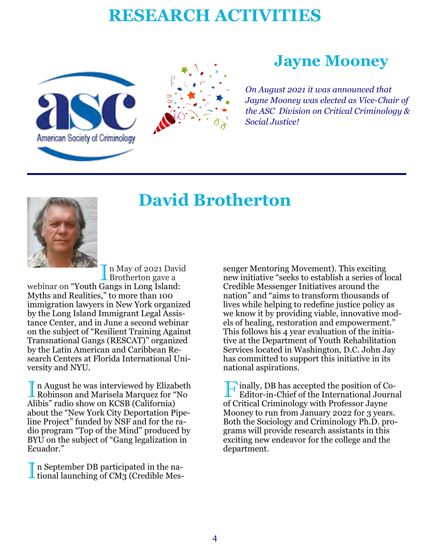# **RESEARCH ACTIVITIES**





# **Jayne Mooney**

*On August 2021 it was announced that Jayne Mooney was elected as Vice-Chair of the ASC Division on Critical Criminology & Social Justice!*



# **David Brotherton**

I n May of 2021 Day<br>Brotherton gave a n May of 2021 David

webinar on "Youth Gangs in Long Island: Myths and Realities," to more than 100 immigration lawyers in New York organized by the Long Island Immigrant Legal Assistance Center, and in June a second webinar on the subject of "Resilient Training Against Transnational Gangs (RESCAT)" organized by the Latin American and Caribbean Research Centers at Florida International University and NYU.

In August he was interviewed by Elizabeth<br>Robinson and Marisela Marquez for "No n August he was interviewed by Elizabeth Alibis" radio show on KCSB (California) about the "New York City Deportation Pipeline Project" funded by NSF and for the radio program "Top of the Mind" produced by BYU on the subject of "Gang legalization in Ecuador."

In September DB participated in the national launching of CM3 (Credible Mesn September DB participated in the na-

senger Mentoring Movement). This exciting new initiative "seeks to establish a series of local Credible Messenger Initiatives around the nation" and "aims to transform thousands of lives while helping to redefine justice policy as we know it by providing viable, innovative models of healing, restoration and empowerment." This follows his 4 year evaluation of the initiative at the Department of Youth Rehabilitation Services located in Washington, D.C. John Jay has committed to support this initiative in its national aspirations.

Finally, DB has accepted the position of Co-<br>Editor-in-Chief of the International Journal Editor-in-Chief of the International Journal of Critical Criminology with Professor Jayne Mooney to run from January 2022 for 3 years. Both the Sociology and Criminology Ph.D. programs will provide research assistants in this exciting new endeavor for the college and the department.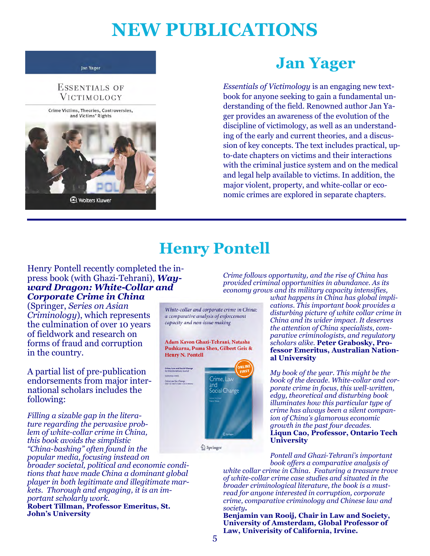# **NEW PUBLICATIONS**

#### **Jan Yager**

### ESSENTIALS OF VICTIMOLOGY



# **Jan Yager**

*Essentials of Victimology* is an engaging new textbook for anyone seeking to gain a fundamental understanding of the field. Renowned author Jan Yager provides an awareness of the evolution of the discipline of victimology, as well as an understanding of the early and current theories, and a discussion of key concepts. The text includes practical, upto-date chapters on victims and their interactions with the criminal justice system and on the medical and legal help available to victims. In addition, the major violent, property, and white-collar or economic crimes are explored in separate chapters.

# **Henry Pontell**

### Henry Pontell recently completed the inpress book (with Ghazi-Tehrani), *Wayward Dragon: White-Collar and Corporate Crime in China*

(Springer, *Series on Asian Criminology*), which represents the culmination of over 10 years of fieldwork and research on forms of fraud and corruption in the country.

A partial list of pre-publication endorsements from major international scholars includes the following:

*Filling a sizable gap in the literature regarding the pervasive problem of white-collar crime in China, this book avoids the simplistic "China-bashing" often found in the popular media, focusing instead on* 

*broader societal, political and economic conditions that have made China a dominant global player in both legitimate and illegitimate markets. Thorough and engaging, it is an important scholarly work.*

**Robert Tillman, Professor Emeritus, St. John's University**

*Crime follows opportunity, and the rise of China has provided criminal opportunities in abundance. As its economy grows and its military capacity intensifies,* 

White-collar and corporate crime in China: a comparative analysis of enforcement capacity and non-issue making

Adam Kavon Ghazi-Tehrani, Natasha Pushkarna, Puma Shen, Gilbert Geis & **Henry N. Pontell** 



Springer

*what happens in China has global implications. This important book provides a disturbing picture of white collar crime in China and its wider impact. It deserves the attention of China specialists, comparative criminologists, and regulatory scholars alike.* **Peter Grabosky, Professor Emeritus, Australian National University**

*My book of the year. This might be the book of the decade. White-collar and corporate crime in focus, this well-written, edgy, theoretical and disturbing book illuminates how this particular type of crime has always been a silent companion of China's glamorous economic growth in the past four decades.* **Liqun Cao, Professor, Ontario Tech University**

*Pontell and Ghazi-Tehrani's important book offers a comparative analysis of* 

*white collar crime in China. Featuring a treasure trove of white-collar crime case studies and situated in the broader criminological literature, the book is a mustread for anyone interested in corruption, corporate crime, comparative criminology and Chinese law and society.* 

**Benjamin van Rooij***,* **Chair in Law and Society, University of Amsterdam***,* **Global Professor of Law, Univerisity of California, Irvine.**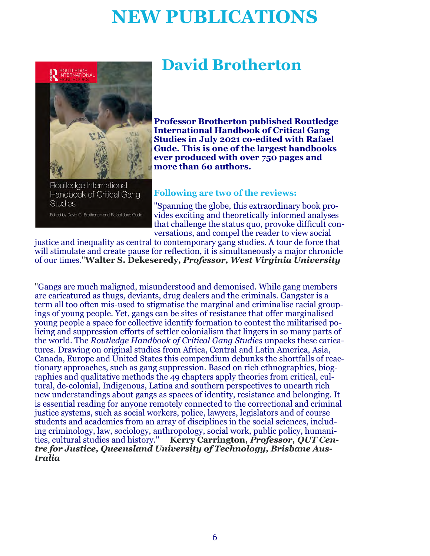# **NEW PUBLICATIONS**



Routledge International Handbook of Critical Gang **Studies** Edited by David C. Brotherton and Rafael Jose Gude

# **David Brotherton**

**Professor Brotherton published Routledge International Handbook of Critical Gang Studies in July 2021 co-edited with Rafael Gude. This is one of the largest handbooks ever produced with over 750 pages and more than 60 authors.** 

### **Following are two of the reviews:**

"Spanning the globe, this extraordinary book provides exciting and theoretically informed analyses that challenge the status quo, provoke difficult conversations, and compel the reader to view social

justice and inequality as central to contemporary gang studies. A tour de force that will stimulate and create pause for reflection, it is simultaneously a major chronicle of our times."**Walter S. Dekeseredy***, Professor, West Virginia University*

"Gangs are much maligned, misunderstood and demonised. While gang members are caricatured as thugs, deviants, drug dealers and the criminals. Gangster is a term all too often mis-used to stigmatise the marginal and criminalise racial groupings of young people. Yet, gangs can be sites of resistance that offer marginalised young people a space for collective identify formation to contest the militarised policing and suppression efforts of settler colonialism that lingers in so many parts of the world. The *Routledge Handbook of Critical Gang Studies* unpacks these caricatures. Drawing on original studies from Africa, Central and Latin America, Asia, Canada, Europe and United States this compendium debunks the shortfalls of reactionary approaches, such as gang suppression. Based on rich ethnographies, biographies and qualitative methods the 49 chapters apply theories from critical, cultural, de-colonial, Indigenous, Latina and southern perspectives to unearth rich new understandings about gangs as spaces of identity, resistance and belonging. It is essential reading for anyone remotely connected to the correctional and criminal justice systems, such as social workers, police, lawyers, legislators and of course students and academics from an array of disciplines in the social sciences, including criminology, law, sociology, anthropology, social work, public policy, humanities, cultural studies and history." **Kerry Carrington***, Professor, QUT Centre for Justice, Queensland University of Technology, Brisbane Australia*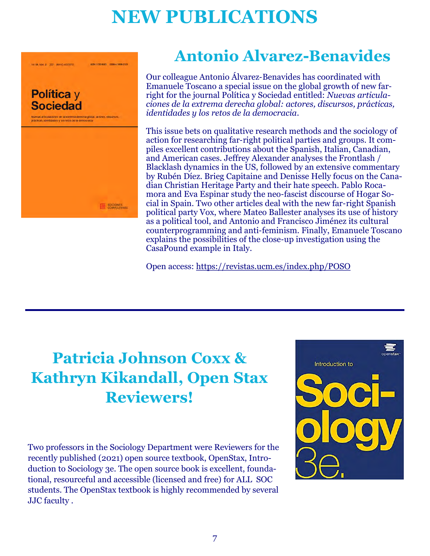# **NEW PUBLICATIONS**



85N 1100 8001 155N = 1956-212

**UT AN INFORMATION CONTROL** 

**Antonio Alvarez-Benavides**

Our colleague Antonio Álvarez-Benavides has coordinated with Emanuele Toscano a special issue on the global growth of new farright for the journal Política y Sociedad entitled: *Nuevas articulaciones de la extrema derecha global: actores, discursos, prácticas, identidades y los retos de la democracia*.

This issue bets on qualitative research methods and the sociology of action for researching far-right political parties and groups. It compiles excellent contributions about the Spanish, Italian, Canadian, and American cases. Jeffrey Alexander analyses the Frontlash / Blacklash dynamics in the US, followed by an extensive commentary by Rubén Díez. Brieg Capitaine and Denisse Helly focus on the Canadian Christian Heritage Party and their hate speech. Pablo Rocamora and Eva Espinar study the neo-fascist discourse of Hogar Social in Spain. Two other articles deal with the new far-right Spanish political party Vox, where Mateo Ballester analyses its use of history as a political tool, and Antonio and Francisco Jiménez its cultural counterprogramming and anti-feminism. Finally, Emanuele Toscano explains the possibilities of the close-up investigation using the CasaPound example in Italy.

Open access: <https://revistas.ucm.es/index.php/POSO>

# **Patricia Johnson Coxx & Kathryn Kikandall, Open Stax Reviewers!**

Two professors in the Sociology Department were Reviewers for the recently published (2021) open source textbook, OpenStax, Introduction to Sociology 3e. The open source book is excellent, foundational, resourceful and accessible (licensed and free) for ALL SOC students. The OpenStax textbook is highly recommended by several JJC faculty .

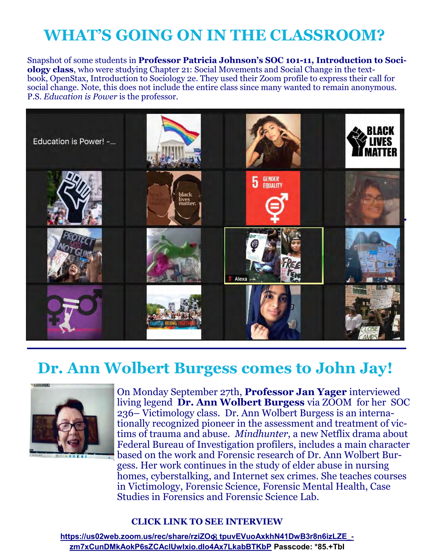# **WHAT'S GOING ON IN THE CLASSROOM?**

Snapshot of some students in **Professor Patricia Johnson's SOC 101-11, Introduction to Sociology class**, who were studying Chapter 21: Social Movements and Social Change in the textbook, OpenStax, Introduction to Sociology 2e. They used their Zoom profile to express their call for social change. Note, this does not include the entire class since many wanted to remain anonymous. P.S. *Education is Power* is the professor.



# **Dr. Ann Wolbert Burgess comes to John Jay!**



On Monday September 27th, **Professor Jan Yager** interviewed living legend **Dr. Ann Wolbert Burgess** via ZOOM for her SOC 236– Victimology class. Dr. Ann Wolbert Burgess is an internationally recognized pioneer in the assessment and treatment of victims of trauma and abuse. *Mindhunter*, a new Netflix drama about Federal Bureau of Investigation profilers, includes a main character based on the work and Forensic research of Dr. Ann Wolbert Burgess. Her work continues in the study of elder abuse in nursing homes, cyberstalking, and Internet sex crimes. She teaches courses in Victimology, Forensic Science, Forensic Mental Health, Case Studies in Forensics and Forensic Science Lab.

### **CLICK LINK TO SEE INTERVIEW**

8 **[https://us02web.zoom.us/rec/share/rziZOo\\_tpuvEVuoAxkhN41DwB3r8n6izLZE\\_](https://us02web.zoom.us/rec/share/rziZOo_tpuvEVuoAxkhN41DwB3r8n6izLZE_-zm7xCunDMkAokP6sZCAclUwIxio.dIo4Ax7LkabBTKbP) [zm7xCunDMkAokP6sZCAclUwIxio.dIo4Ax7LkabBTKbP](https://us02web.zoom.us/rec/share/rziZOo_tpuvEVuoAxkhN41DwB3r8n6izLZE_-zm7xCunDMkAokP6sZCAclUwIxio.dIo4Ax7LkabBTKbP) Passcode: \*85.+TbI**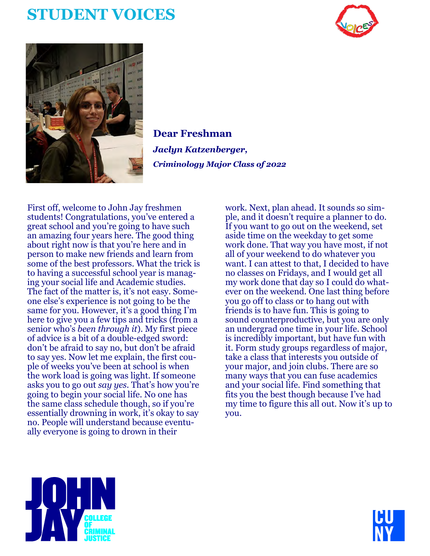# **STUDENT VOICES**





**Dear Freshman** *Jaclyn Katzenberger, Criminology Major Class of 2022*

First off, welcome to John Jay freshmen students! Congratulations, you've entered a great school and you're going to have such an amazing four years here. The good thing about right now is that you're here and in person to make new friends and learn from some of the best professors. What the trick is to having a successful school year is managing your social life and Academic studies. The fact of the matter is, it's not easy. Someone else's experience is not going to be the same for you. However, it's a good thing I'm here to give you a few tips and tricks (from a senior who's *been through it*). My first piece of advice is a bit of a double-edged sword: don't be afraid to say no, but don't be afraid to say yes. Now let me explain, the first couple of weeks you've been at school is when the work load is going was light. If someone asks you to go out *say yes.* That's how you're going to begin your social life. No one has the same class schedule though, so if you're essentially drowning in work, it's okay to say no. People will understand because eventually everyone is going to drown in their

work. Next, plan ahead. It sounds so simple, and it doesn't require a planner to do. If you want to go out on the weekend, set aside time on the weekday to get some work done. That way you have most, if not all of your weekend to do whatever you want. I can attest to that, I decided to have no classes on Fridays, and I would get all my work done that day so I could do whatever on the weekend. One last thing before you go off to class or to hang out with friends is to have fun. This is going to sound counterproductive, but you are only an undergrad one time in your life. School is incredibly important, but have fun with it. Form study groups regardless of major, take a class that interests you outside of your major, and join clubs. There are so many ways that you can fuse academics and your social life. Find something that fits you the best though because I've had my time to figure this all out. Now it's up to you.



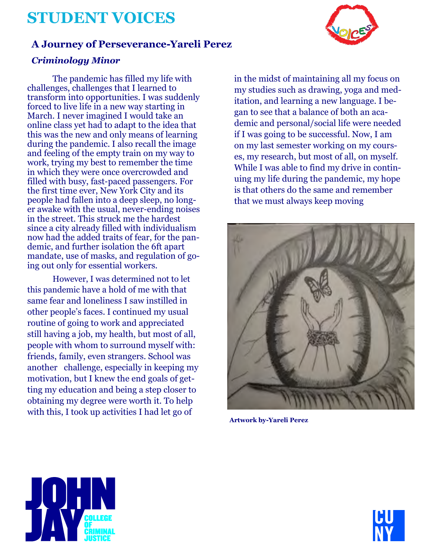# **STUDENT VOICES**

### **A Journey of Perseverance-Yareli Perez**

### *Criminology Minor*

The pandemic has filled my life with challenges, challenges that I learned to transform into opportunities. I was suddenly forced to live life in a new way starting in March. I never imagined I would take an online class yet had to adapt to the idea that this was the new and only means of learning during the pandemic. I also recall the image and feeling of the empty train on my way to work, trying my best to remember the time in which they were once overcrowded and filled with busy, fast-paced passengers. For the first time ever, New York City and its people had fallen into a deep sleep, no longer awake with the usual, never-ending noises in the street. This struck me the hardest since a city already filled with individualism now had the added traits of fear, for the pandemic, and further isolation the 6ft apart mandate, use of masks, and regulation of going out only for essential workers.

However, I was determined not to let this pandemic have a hold of me with that same fear and loneliness I saw instilled in other people's faces. I continued my usual routine of going to work and appreciated still having a job, my health, but most of all, people with whom to surround myself with: friends, family, even strangers. School was another challenge, especially in keeping my motivation, but I knew the end goals of getting my education and being a step closer to obtaining my degree were worth it. To help with this, I took up activities I had let go of

in the midst of maintaining all my focus on my studies such as drawing, yoga and meditation, and learning a new language. I began to see that a balance of both an academic and personal/social life were needed if I was going to be successful. Now, I am on my last semester working on my courses, my research, but most of all, on myself. While I was able to find my drive in continuing my life during the pandemic, my hope is that others do the same and remember that we must always keep moving



**Artwork by-Yareli Perez**





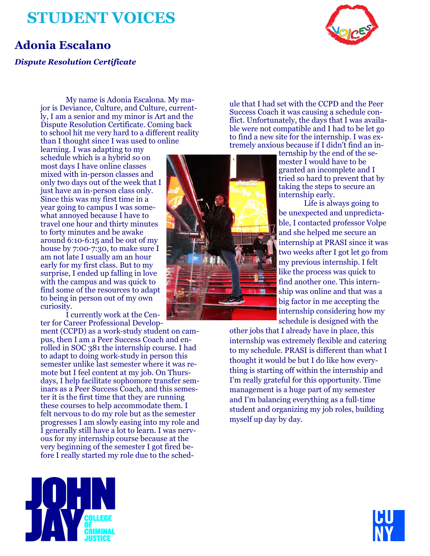# **STUDENT VOICES**



### **Adonia Escalano**

### *Dispute Resolution Certificate*

My name is Adonia Escalona. My major is Deviance, Culture, and Culture, currently, I am a senior and my minor is Art and the Dispute Resolution Certificate. Coming back to school hit me very hard to a different reality than I thought since I was used to online

learning. I was adapting to my schedule which is a hybrid so on most days I have online classes mixed with in-person classes and only two days out of the week that I just have an in-person class only. Since this was my first time in a year going to campus I was somewhat annoyed because I have to travel one hour and thirty minutes to forty minutes and be awake around 6:10-6:15 and be out of my house by 7:00-7:30, to make sure I am not late I usually am an hour early for my first class. But to my surprise, I ended up falling in love with the campus and was quick to find some of the resources to adapt to being in person out of my own curiosity.

I currently work at the Center for Career Professional Develop-

ment (CCPD) as a work-study student on campus, then I am a Peer Success Coach and enrolled in SOC 381 the internship course. I had to adapt to doing work-study in person this semester unlike last semester where it was remote but I feel content at my job. On Thursdays, I help facilitate sophomore transfer seminars as a Peer Success Coach, and this semester it is the first time that they are running these courses to help accommodate them. I felt nervous to do my role but as the semester progresses I am slowly easing into my role and I generally still have a lot to learn. I was nervous for my internship course because at the very beginning of the semester I got fired before I really started my role due to the sched-



ule that I had set with the CCPD and the Peer Success Coach it was causing a schedule conflict. Unfortunately, the days that I was available were not compatible and I had to be let go to find a new site for the internship. I was extremely anxious because if I didn't find an in-

ternship by the end of the semester I would have to be granted an incomplete and I tried so hard to prevent that by taking the steps to secure an internship early.

Life is always going to be unexpected and unpredictable, I contacted professor Volpe and she helped me secure an internship at PRASI since it was two weeks after I got let go from my previous internship. I felt like the process was quick to find another one. This internship was online and that was a big factor in me accepting the internship considering how my schedule is designed with the

other jobs that I already have in place, this internship was extremely flexible and catering to my schedule. PRASI is different than what I thought it would be but I do like how everything is starting off within the internship and I'm really grateful for this opportunity. Time management is a huge part of my semester and I'm balancing everything as a full-time student and organizing my job roles, building myself up day by day.